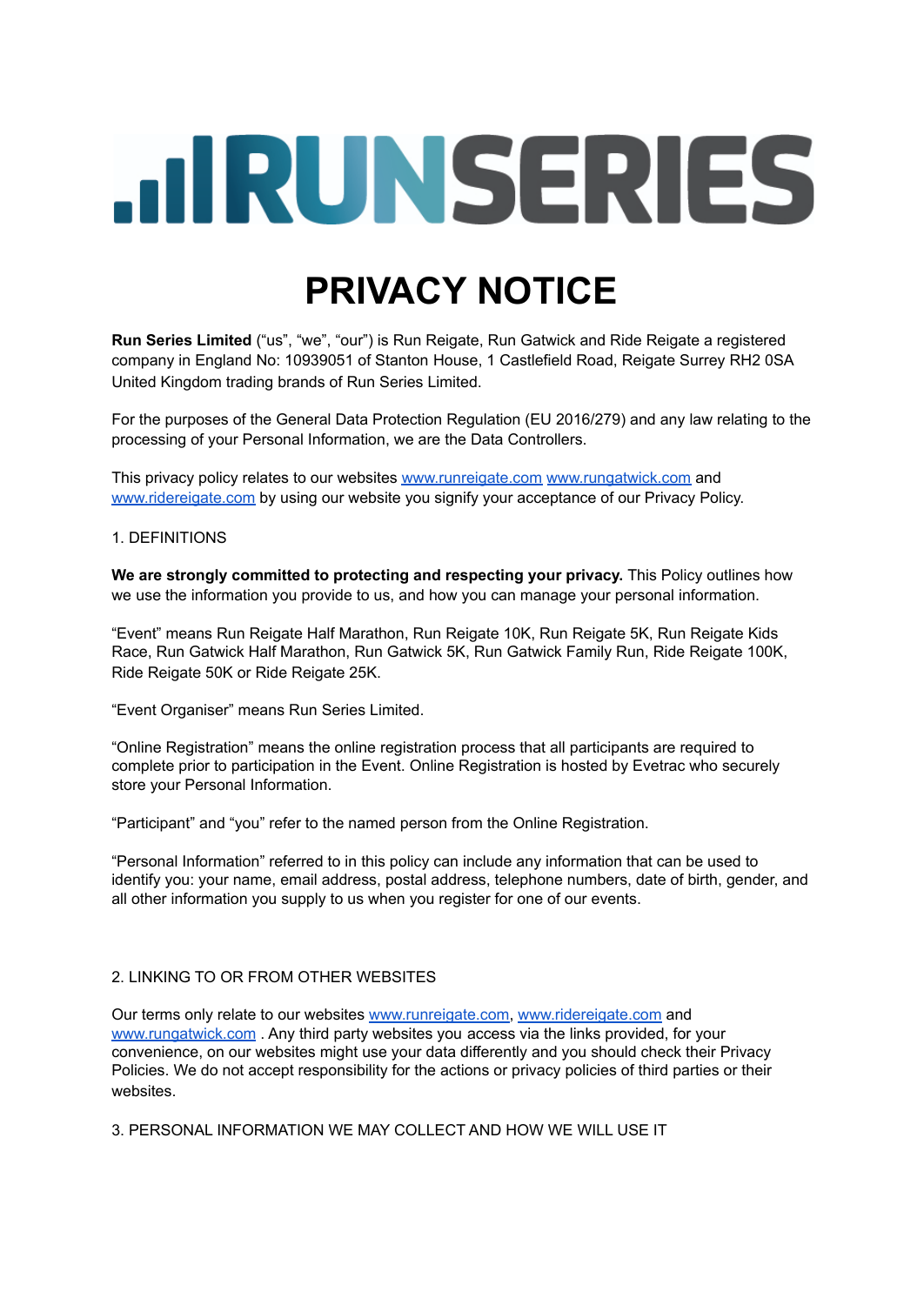# **MRUNSERIES**

# **PRIVACY NOTICE**

**Run Series Limited** ("us", "we", "our") is Run Reigate, Run Gatwick and Ride Reigate a registered company in England No: 10939051 of Stanton House, 1 Castlefield Road, Reigate Surrey RH2 0SA United Kingdom trading brands of Run Series Limited.

For the purposes of the General Data Protection Regulation (EU 2016/279) and any law relating to the processing of your Personal Information, we are the Data Controllers.

This privacy policy relates to our websites [www.runreigate.com](http://www.runreigate.com) [www.rungatwick.com](http://www.rungatwick.com) and [www.ridereigate.com](http://www.ridereigate.com) by using our website you signify your acceptance of our Privacy Policy.

## 1. DEFINITIONS

**We are strongly committed to protecting and respecting your privacy.** This Policy outlines how we use the information you provide to us, and how you can manage your personal information.

"Event" means Run Reigate Half Marathon, Run Reigate 10K, Run Reigate 5K, Run Reigate Kids Race, Run Gatwick Half Marathon, Run Gatwick 5K, Run Gatwick Family Run, Ride Reigate 100K, Ride Reigate 50K or Ride Reigate 25K.

"Event Organiser" means Run Series Limited.

"Online Registration" means the online registration process that all participants are required to complete prior to participation in the Event. Online Registration is hosted by Evetrac who securely store your Personal Information.

"Participant" and "you" refer to the named person from the Online Registration.

"Personal Information" referred to in this policy can include any information that can be used to identify you: your name, email address, postal address, telephone numbers, date of birth, gender, and all other information you supply to us when you register for one of our events.

# 2. LINKING TO OR FROM OTHER WEBSITES

Our terms only relate to our websites [www.runreigate.com,](http://www.runreigate.com) [www.ridereigate.com](http://www.ridereigate.com) and [www.rungatwick.com](http://www.rungatwick.com) . Any third party websites you access via the links provided, for your convenience, on our websites might use your data differently and you should check their Privacy Policies. We do not accept responsibility for the actions or privacy policies of third parties or their websites.

3. PERSONAL INFORMATION WE MAY COLLECT AND HOW WE WILL USE IT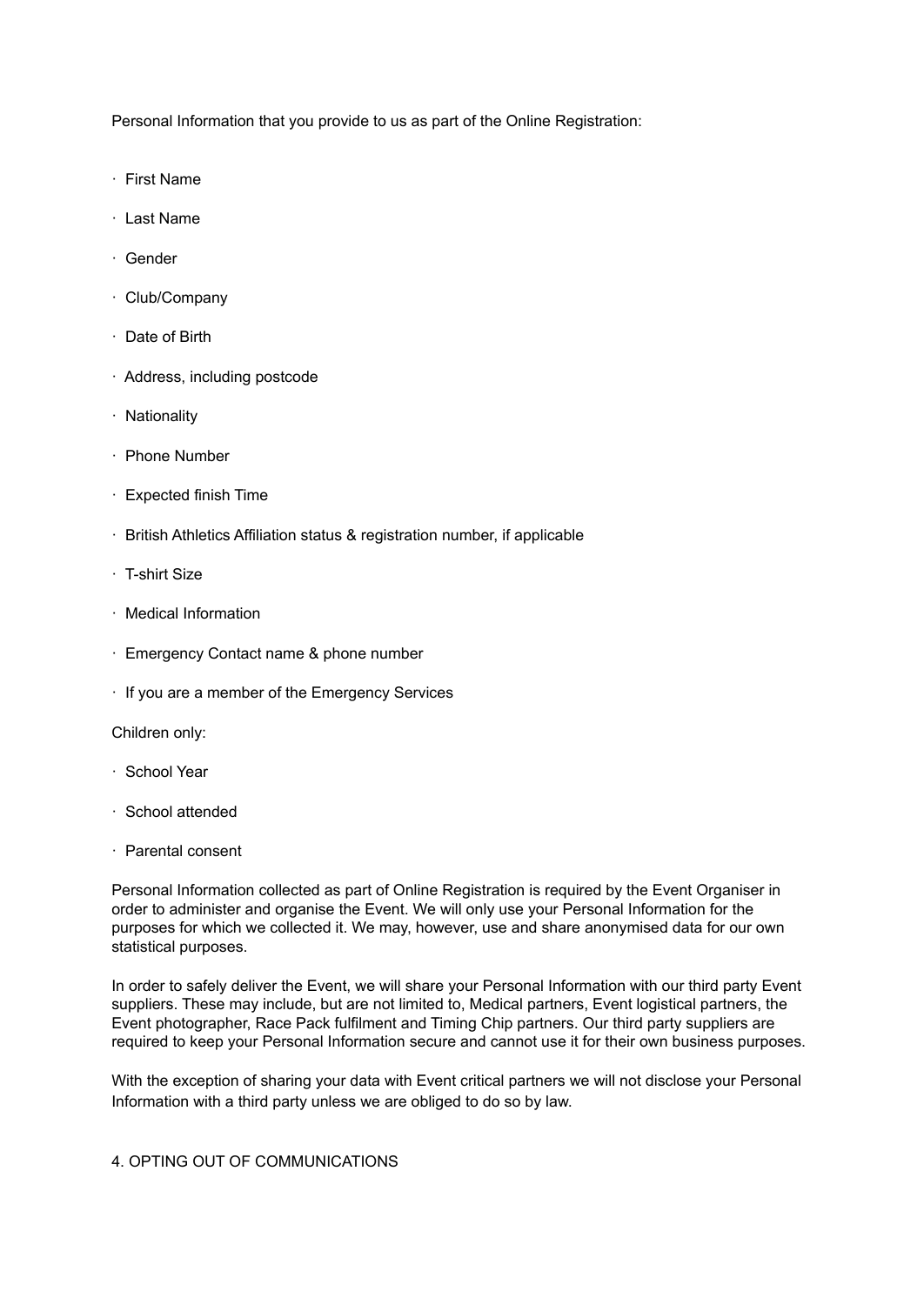Personal Information that you provide to us as part of the Online Registration:

- · First Name
- · Last Name
- · Gender
- · Club/Company
- · Date of Birth
- · Address, including postcode
- · Nationality
- · Phone Number
- · Expected finish Time
- · British Athletics Affiliation status & registration number, if applicable
- · T-shirt Size
- · Medical Information
- · Emergency Contact name & phone number
- · If you are a member of the Emergency Services

### Children only:

- · School Year
- · School attended
- · Parental consent

Personal Information collected as part of Online Registration is required by the Event Organiser in order to administer and organise the Event. We will only use your Personal Information for the purposes for which we collected it. We may, however, use and share anonymised data for our own statistical purposes.

In order to safely deliver the Event, we will share your Personal Information with our third party Event suppliers. These may include, but are not limited to, Medical partners, Event logistical partners, the Event photographer, Race Pack fulfilment and Timing Chip partners. Our third party suppliers are required to keep your Personal Information secure and cannot use it for their own business purposes.

With the exception of sharing your data with Event critical partners we will not disclose your Personal Information with a third party unless we are obliged to do so by law.

# 4. OPTING OUT OF COMMUNICATIONS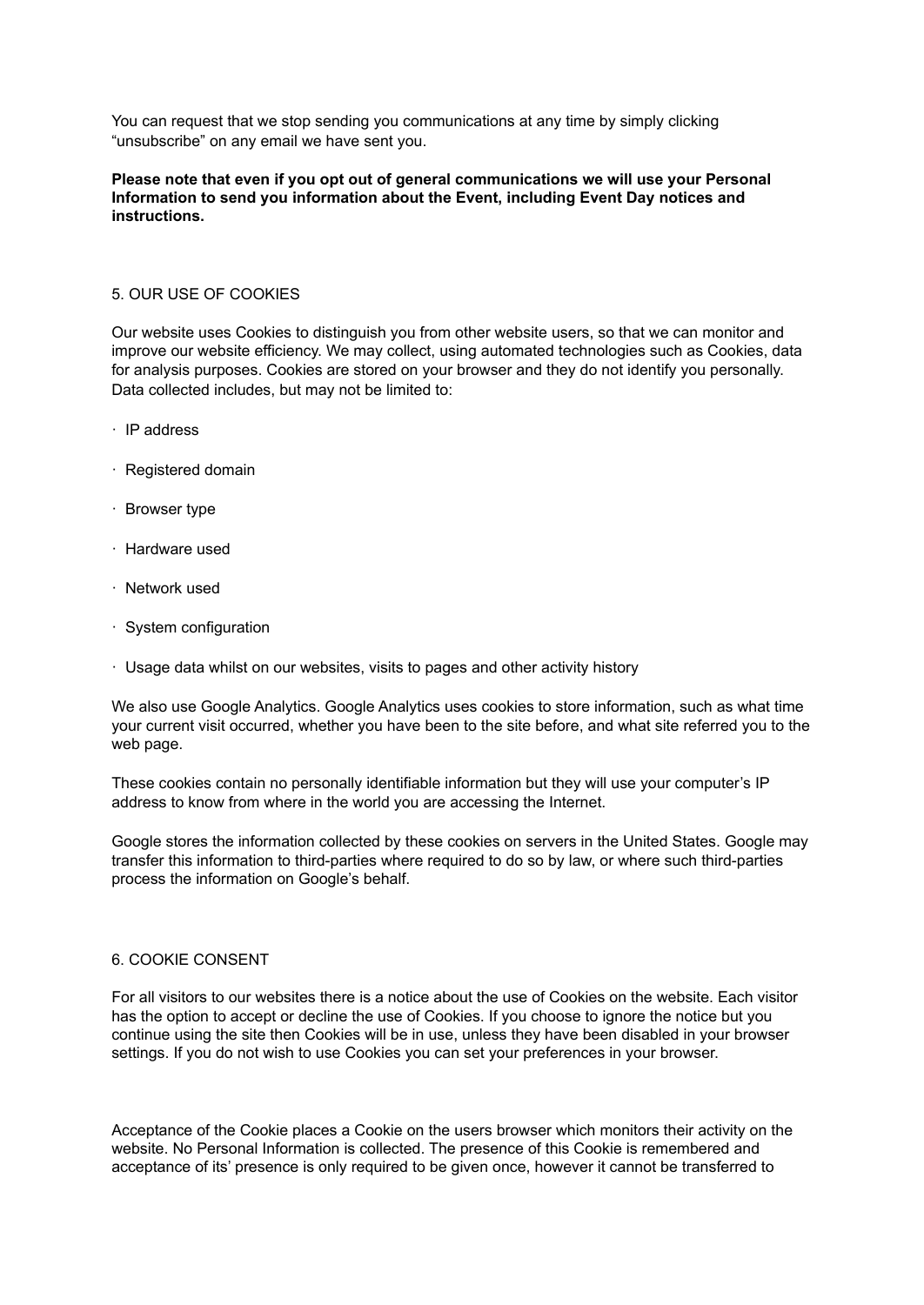You can request that we stop sending you communications at any time by simply clicking "unsubscribe" on any email we have sent you.

#### **Please note that even if you opt out of general communications we will use your Personal Information to send you information about the Event, including Event Day notices and instructions.**

#### 5. OUR USE OF COOKIES

Our website uses Cookies to distinguish you from other website users, so that we can monitor and improve our website efficiency. We may collect, using automated technologies such as Cookies, data for analysis purposes. Cookies are stored on your browser and they do not identify you personally. Data collected includes, but may not be limited to:

- · IP address
- · Registered domain
- · Browser type
- · Hardware used
- · Network used
- · System configuration
- · Usage data whilst on our websites, visits to pages and other activity history

We also use Google Analytics. Google Analytics uses cookies to store information, such as what time your current visit occurred, whether you have been to the site before, and what site referred you to the web page.

These cookies contain no personally identifiable information but they will use your computer's IP address to know from where in the world you are accessing the Internet.

Google stores the information collected by these cookies on servers in the United States. Google may transfer this information to third-parties where required to do so by law, or where such third-parties process the information on Google's behalf.

#### 6. COOKIE CONSENT

For all visitors to our websites there is a notice about the use of Cookies on the website. Each visitor has the option to accept or decline the use of Cookies. If you choose to ignore the notice but you continue using the site then Cookies will be in use, unless they have been disabled in your browser settings. If you do not wish to use Cookies you can set your preferences in your browser.

Acceptance of the Cookie places a Cookie on the users browser which monitors their activity on the website. No Personal Information is collected. The presence of this Cookie is remembered and acceptance of its' presence is only required to be given once, however it cannot be transferred to